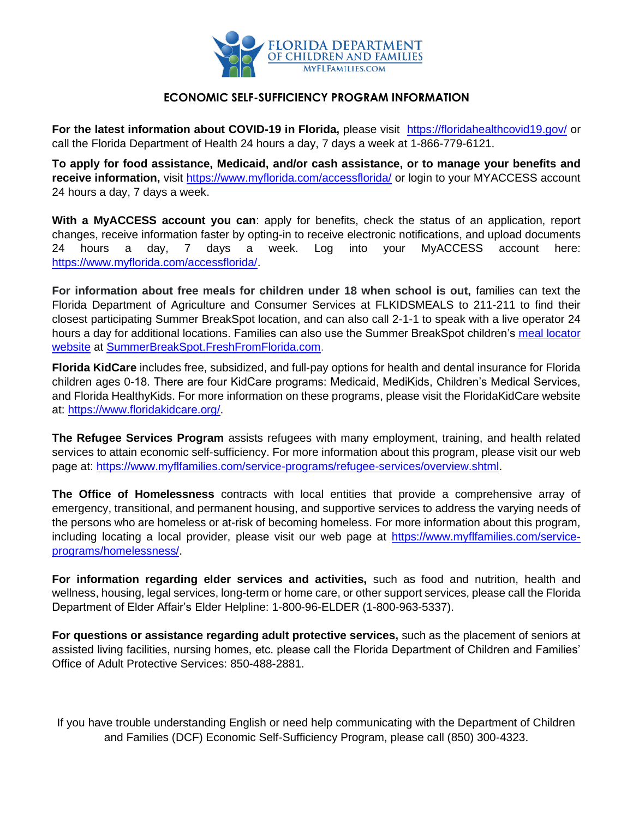

## **ECONOMIC SELF-SUFFICIENCY PROGRAM INFORMATION**

**For the latest information about COVID-19 in Florida,** please visit <https://floridahealthcovid19.gov/> or call the Florida Department of Health 24 hours a day, 7 days a week at 1-866-779-6121.

**To apply for food assistance, Medicaid, and/or cash assistance, or to manage your benefits and receive information,** visit<https://www.myflorida.com/accessflorida/> or login to your MYACCESS account 24 hours a day, 7 days a week.

**With a MyACCESS account you can**: apply for benefits, check the status of an application, report changes, receive information faster by opting-in to receive electronic notifications, and upload documents 24 hours a day, 7 days a week. Log into your MyACCESS account here: [https://www.myflorida.com/accessflorida/.](https://www.myflorida.com/accessflorida/)

**For information about free meals for children under 18 when school is out,** families can text the Florida Department of Agriculture and Consumer Services at FLKIDSMEALS to 211-211 to find their closest participating Summer BreakSpot location, and can also call 2-1-1 to speak with a live operator 24 hours a day for additional locations. Families can also use the Summer BreakSpot children's [meal locator](https://www.miamiherald.com/news/local/education/article241213466.html)  [website](https://www.miamiherald.com/news/local/education/article241213466.html) at [SummerBreakSpot.FreshFromFlorida.com.](https://summerbreakspot.freshfromflorida.com/)

**Florida KidCare** includes free, subsidized, and full-pay options for health and dental insurance for Florida children ages 0-18. There are four KidCare programs: Medicaid, MediKids, Children's Medical Services, and Florida HealthyKids. For more information on these programs, please visit the FloridaKidCare website at: [https://www.floridakidcare.org/.](https://www.floridakidcare.org/)

**The Refugee Services Program** assists refugees with many employment, training, and health related services to attain economic self-sufficiency. For more information about this program, please visit our web page at: [https://www.myflfamilies.com/service-programs/refugee-services/overview.shtml.](https://www.myflfamilies.com/service-programs/refugee-services/overview.shtml)

**The Office of Homelessness** contracts with local entities that provide a comprehensive array of emergency, transitional, and permanent housing, and supportive services to address the varying needs of the persons who are homeless or at-risk of becoming homeless. For more information about this program, including locating a local provider, please visit our web page at [https://www.myflfamilies.com/service](https://www.myflfamilies.com/service-programs/homelessness/)[programs/homelessness/.](https://www.myflfamilies.com/service-programs/homelessness/)

**For information regarding elder services and activities,** such as food and nutrition, health and wellness, housing, legal services, long-term or home care, or other support services, please call the Florida Department of Elder Affair's Elder Helpline: 1-800-96-ELDER (1-800-963-5337).

**For questions or assistance regarding adult protective services,** such as the placement of seniors at assisted living facilities, nursing homes, etc. please call the Florida Department of Children and Families' Office of Adult Protective Services: 850-488-2881.

If you have trouble understanding English or need help communicating with the Department of Children and Families (DCF) Economic Self-Sufficiency Program, please call (850) 300-4323.